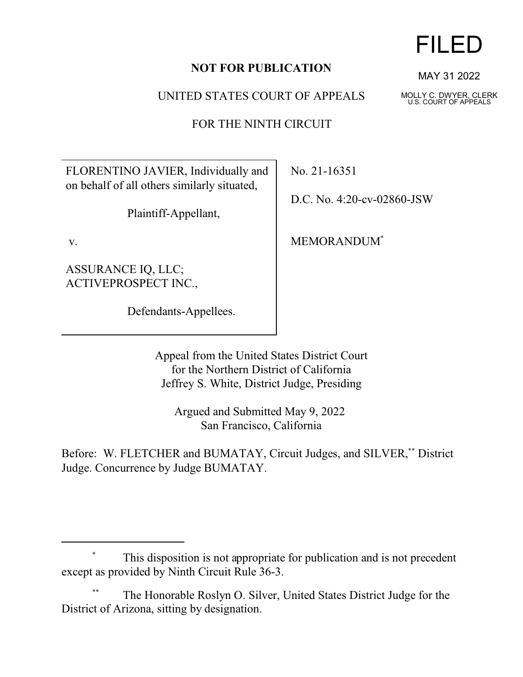## **NOT FOR PUBLICATION**

UNITED STATES COURT OF APPEALS

FOR THE NINTH CIRCUIT

FLORENTINO JAVIER, Individually and on behalf of all others similarly situated,

Plaintiff-Appellant,

v.

ASSURANCE IQ, LLC; ACTIVEPROSPECT INC.,

Defendants-Appellees.

No. 21-16351

D.C. No. 4:20-cv-02860-JSW

MEMORANDUM\*

Appeal from the United States District Court for the Northern District of California Jeffrey S. White, District Judge, Presiding

Argued and Submitted May 9, 2022 San Francisco, California

Before: W. FLETCHER and BUMATAY, Circuit Judges, and SILVER,\*\* District Judge. Concurrence by Judge BUMATAY.

This disposition is not appropriate for publication and is not precedent except as provided by Ninth Circuit Rule 36-3.

The Honorable Roslyn O. Silver, United States District Judge for the District of Arizona, sitting by designation.

## FILED

MAY 31 2022

MOLLY C. DWYER, CLERK U.S. COURT OF APPEALS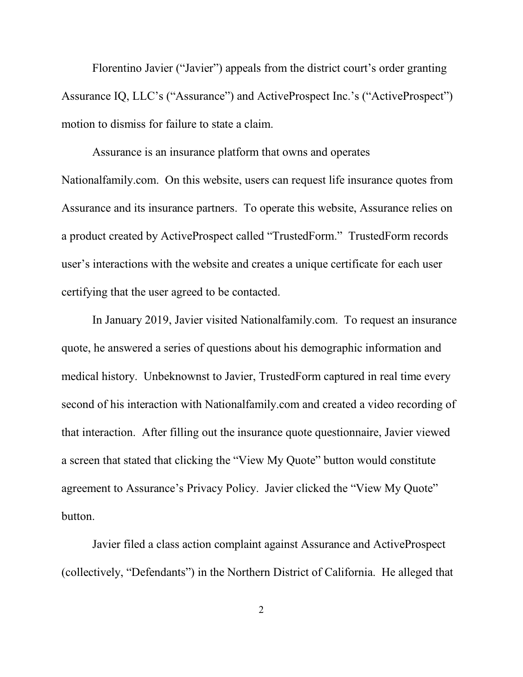Florentino Javier ("Javier") appeals from the district court's order granting Assurance IQ, LLC's ("Assurance") and ActiveProspect Inc.'s ("ActiveProspect") motion to dismiss for failure to state a claim.

Assurance is an insurance platform that owns and operates Nationalfamily.com. On this website, users can request life insurance quotes from Assurance and its insurance partners. To operate this website, Assurance relies on a product created by ActiveProspect called "TrustedForm." TrustedForm records user's interactions with the website and creates a unique certificate for each user certifying that the user agreed to be contacted.

In January 2019, Javier visited Nationalfamily.com. To request an insurance quote, he answered a series of questions about his demographic information and medical history. Unbeknownst to Javier, TrustedForm captured in real time every second of his interaction with Nationalfamily.com and created a video recording of that interaction. After filling out the insurance quote questionnaire, Javier viewed a screen that stated that clicking the "View My Quote" button would constitute agreement to Assurance's Privacy Policy. Javier clicked the "View My Quote" button.

Javier filed a class action complaint against Assurance and ActiveProspect (collectively, "Defendants") in the Northern District of California. He alleged that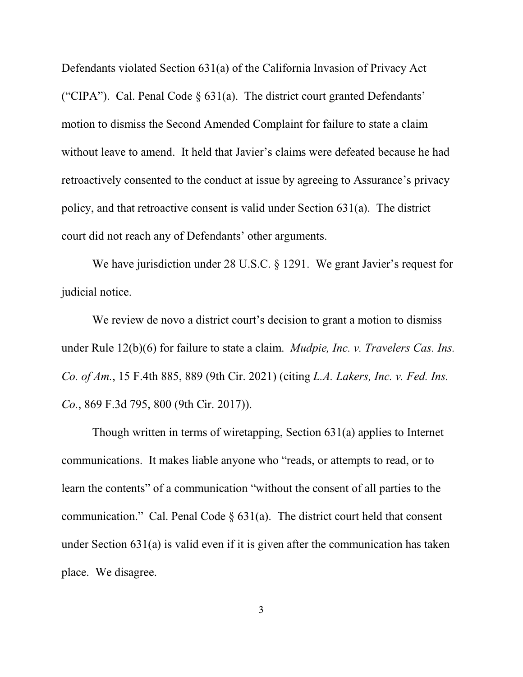Defendants violated Section 631(a) of the California Invasion of Privacy Act ("CIPA"). Cal. Penal Code  $\S 631(a)$ . The district court granted Defendants' motion to dismiss the Second Amended Complaint for failure to state a claim without leave to amend. It held that Javier's claims were defeated because he had retroactively consented to the conduct at issue by agreeing to Assurance's privacy policy, and that retroactive consent is valid under Section 631(a). The district court did not reach any of Defendants' other arguments.

We have jurisdiction under 28 U.S.C. § 1291. We grant Javier's request for judicial notice.

We review de novo a district court's decision to grant a motion to dismiss under Rule 12(b)(6) for failure to state a claim. *Mudpie, Inc. v. Travelers Cas. Ins. Co. of Am.*, 15 F.4th 885, 889 (9th Cir. 2021) (citing *L.A. Lakers, Inc. v. Fed. Ins. Co.*, 869 F.3d 795, 800 (9th Cir. 2017)).

Though written in terms of wiretapping, Section 631(a) applies to Internet communications. It makes liable anyone who "reads, or attempts to read, or to learn the contents" of a communication "without the consent of all parties to the communication." Cal. Penal Code  $\S$  631(a). The district court held that consent under Section 631(a) is valid even if it is given after the communication has taken place. We disagree.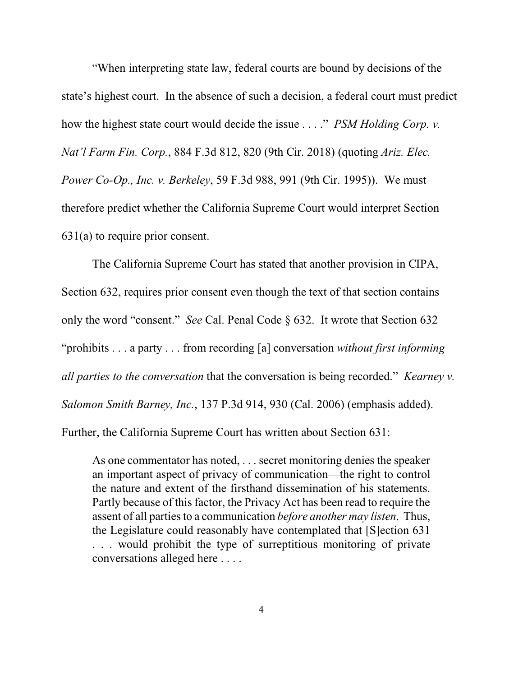"When interpreting state law, federal courts are bound by decisions of the state's highest court. In the absence of such a decision, a federal court must predict how the highest state court would decide the issue . . . ." *PSM Holding Corp. v. Nat'l Farm Fin. Corp.*, 884 F.3d 812, 820 (9th Cir. 2018) (quoting *Ariz. Elec. Power Co-Op., Inc. v. Berkeley*, 59 F.3d 988, 991 (9th Cir. 1995)). We must therefore predict whether the California Supreme Court would interpret Section 631(a) to require prior consent.

The California Supreme Court has stated that another provision in CIPA, Section 632, requires prior consent even though the text of that section contains only the word "consent." *See* Cal. Penal Code § 632. It wrote that Section 632 "prohibits . . . a party . . . from recording [a] conversation *without first informing all parties to the conversation* that the conversation is being recorded." *Kearney v. Salomon Smith Barney, Inc.*, 137 P.3d 914, 930 (Cal. 2006) (emphasis added). Further, the California Supreme Court has written about Section 631:

As one commentator has noted, . . . secret monitoring denies the speaker an important aspect of privacy of communication—the right to control the nature and extent of the firsthand dissemination of his statements. Partly because of this factor, the Privacy Act has been read to require the assent of all parties to a communication *before another may listen*. Thus, the Legislature could reasonably have contemplated that [S]ection 631 . . . would prohibit the type of surreptitious monitoring of private conversations alleged here . . . .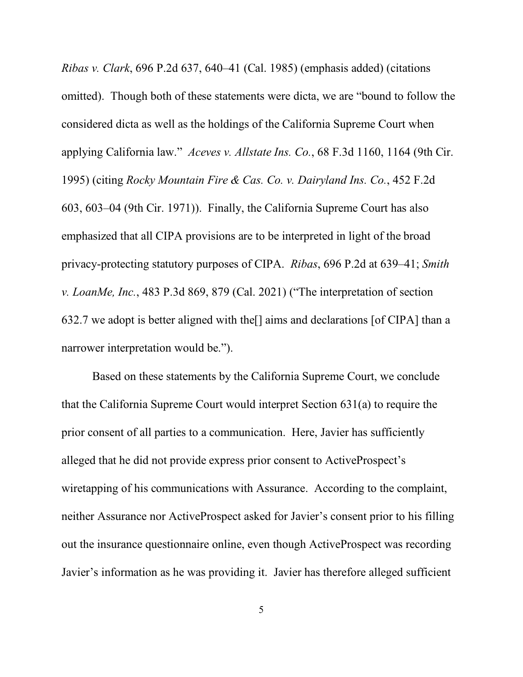*Ribas v. Clark*, 696 P.2d 637, 640–41 (Cal. 1985) (emphasis added) (citations omitted). Though both of these statements were dicta, we are "bound to follow the considered dicta as well as the holdings of the California Supreme Court when applying California law." *Aceves v. Allstate Ins. Co.*, 68 F.3d 1160, 1164 (9th Cir. 1995) (citing *Rocky Mountain Fire & Cas. Co. v. Dairyland Ins. Co.*, 452 F.2d 603, 603–04 (9th Cir. 1971)). Finally, the California Supreme Court has also emphasized that all CIPA provisions are to be interpreted in light of the broad privacy-protecting statutory purposes of CIPA. *Ribas*, 696 P.2d at 639–41; *Smith v. LoanMe, Inc.*, 483 P.3d 869, 879 (Cal. 2021) ("The interpretation of section 632.7 we adopt is better aligned with the[] aims and declarations [of CIPA] than a narrower interpretation would be.").

Based on these statements by the California Supreme Court, we conclude that the California Supreme Court would interpret Section 631(a) to require the prior consent of all parties to a communication. Here, Javier has sufficiently alleged that he did not provide express prior consent to ActiveProspect's wiretapping of his communications with Assurance. According to the complaint, neither Assurance nor ActiveProspect asked for Javier's consent prior to his filling out the insurance questionnaire online, even though ActiveProspect was recording Javier's information as he was providing it. Javier has therefore alleged sufficient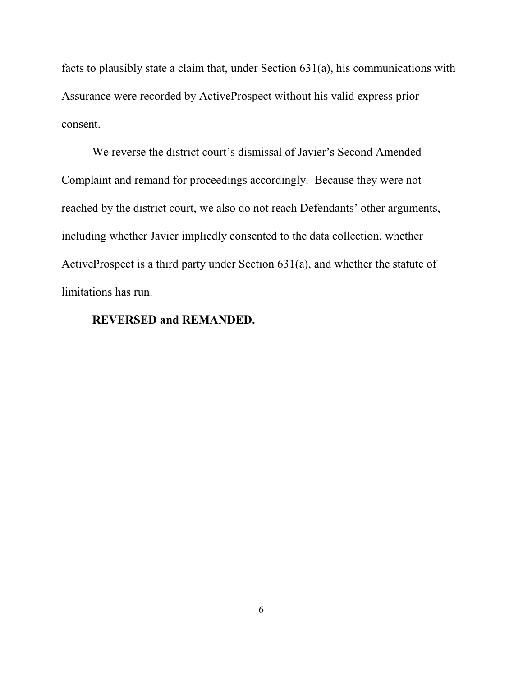facts to plausibly state a claim that, under Section 631(a), his communications with Assurance were recorded by ActiveProspect without his valid express prior consent.

We reverse the district court's dismissal of Javier's Second Amended Complaint and remand for proceedings accordingly. Because they were not reached by the district court, we also do not reach Defendants' other arguments, including whether Javier impliedly consented to the data collection, whether ActiveProspect is a third party under Section 631(a), and whether the statute of limitations has run.

## **REVERSED and REMANDED.**